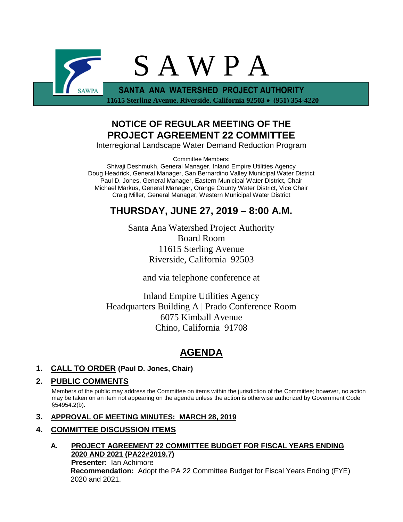

 **11615 Sterling Avenue, Riverside, California 92503** • **(951) 354-4220**

## **NOTICE OF REGULAR MEETING OF THE PROJECT AGREEMENT 22 COMMITTEE**

Interregional Landscape Water Demand Reduction Program

Committee Members:

Shivaji Deshmukh, General Manager, Inland Empire Utilities Agency Doug Headrick, General Manager, San Bernardino Valley Municipal Water District Paul D. Jones, General Manager, Eastern Municipal Water District, Chair Michael Markus, General Manager, Orange County Water District, Vice Chair Craig Miller, General Manager, Western Municipal Water District

# **THURSDAY, JUNE 27, 2019 – 8:00 A.M.**

Santa Ana Watershed Project Authority Board Room 11615 Sterling Avenue Riverside, California 92503

and via telephone conference at

Inland Empire Utilities Agency Headquarters Building A | Prado Conference Room 6075 Kimball Avenue Chino, California 91708

# **AGENDA**

## **1. CALL TO ORDER (Paul D. Jones, Chair)**

## **2. PUBLIC COMMENTS**

Members of the public may address the Committee on items within the jurisdiction of the Committee; however, no action may be taken on an item not appearing on the agenda unless the action is otherwise authorized by Government Code §54954.2(b).

## **3. APPROVAL OF MEETING MINUTES: MARCH 28, 2019**

## **4. COMMITTEE DISCUSSION ITEMS**

## **A. PROJECT AGREEMENT 22 COMMITTEE BUDGET FOR FISCAL YEARS ENDING 2020 AND 2021 (PA22#2019.7) Presenter:** Ian Achimore

**Recommendation:** Adopt the PA 22 Committee Budget for Fiscal Years Ending (FYE) 2020 and 2021.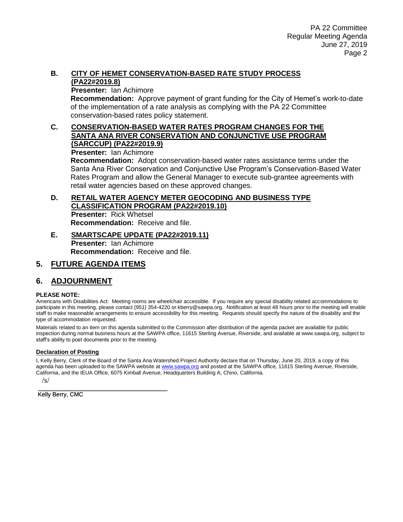#### **B. CITY OF HEMET CONSERVATION-BASED RATE STUDY PROCESS (PA22#2019.8)**

**Presenter:** Ian Achimore

**Recommendation:** Approve payment of grant funding for the City of Hemet's work-to-date of the implementation of a rate analysis as complying with the PA 22 Committee conservation-based rates policy statement.

#### **C. CONSERVATION-BASED WATER RATES PROGRAM CHANGES FOR THE SANTA ANA RIVER CONSERVATION AND CONJUNCTIVE USE PROGRAM (SARCCUP) (PA22#2019.9)**

**Presenter:** Ian Achimore

**Recommendation:** Adopt conservation-based water rates assistance terms under the Santa Ana River Conservation and Conjunctive Use Program's Conservation-Based Water Rates Program and allow the General Manager to execute sub-grantee agreements with retail water agencies based on these approved changes.

#### **D. RETAIL WATER AGENCY METER GEOCODING AND BUSINESS TYPE CLASSIFICATION PROGRAM (PA22#2019.10) Presenter:** Rick Whetsel **Recommendation:** Receive and file.

**E. SMARTSCAPE UPDATE (PA22#2019.11) Presenter:** Ian Achimore **Recommendation:** Receive and file.

## **5. FUTURE AGENDA ITEMS**

## **6. ADJOURNMENT**

#### **PLEASE NOTE:**

Americans with Disabilities Act: Meeting rooms are wheelchair accessible. If you require any special disability related accommodations to participate in this meeting, please contact (951) 354-4220 or kberry@sawpa.org. Notification at least 48 hours prior to the meeting will enable staff to make reasonable arrangements to ensure accessibility for this meeting. Requests should specify the nature of the disability and the type of accommodation requested.

Materials related to an item on this agenda submitted to the Commission after distribution of the agenda packet are available for public inspection during normal business hours at the SAWPA office, 11615 Sterling Avenue, Riverside, and available at www.sawpa.org, subject to staff's ability to post documents prior to the meeting.

#### **Declaration of Posting**

I, Kelly Berry, Clerk of the Board of the Santa Ana Watershed Project Authority declare that on Thursday, June 20, 2019, a copy of this agenda has been uploaded to the SAWPA website a[t www.sawpa.org](http://www.sawpa.org/) and posted at the SAWPA office, 11615 Sterling Avenue, Riverside, California, and the IEUA Office, 6075 Kimball Avenue, Headquarters Building A, Chino, California.

/s/

\_\_\_\_\_\_\_\_\_\_\_\_\_\_\_\_\_\_\_\_\_\_\_\_\_\_\_\_\_\_\_\_\_\_\_\_\_\_\_ Kelly Berry, CMC